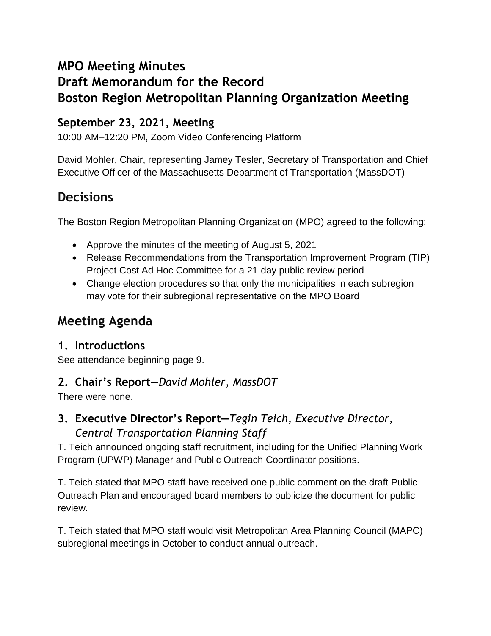# **MPO Meeting Minutes**

# **Draft Memorandum for the Record Boston Region Metropolitan Planning Organization Meeting**

# **September 23, 2021, Meeting**

10:00 AM–12:20 PM, Zoom Video Conferencing Platform

David Mohler, Chair, representing Jamey Tesler, Secretary of Transportation and Chief Executive Officer of the Massachusetts Department of Transportation (MassDOT)

# **Decisions**

The Boston Region Metropolitan Planning Organization (MPO) agreed to the following:

- Approve the minutes of the meeting of August 5, 2021
- Release Recommendations from the Transportation Improvement Program (TIP) Project Cost Ad Hoc Committee for a 21-day public review period
- Change election procedures so that only the municipalities in each subregion may vote for their subregional representative on the MPO Board

# **Meeting Agenda**

# **1. Introductions**

See attendance beginning page 9.

# **2. Chair's Report—***David Mohler, MassDOT*

There were none.

**3. Executive Director's Report—***Tegin Teich, Executive Director, Central Transportation Planning Staff*

T. Teich announced ongoing staff recruitment, including for the Unified Planning Work Program (UPWP) Manager and Public Outreach Coordinator positions.

T. Teich stated that MPO staff have received one public comment on the draft Public Outreach Plan and encouraged board members to publicize the document for public review.

T. Teich stated that MPO staff would visit Metropolitan Area Planning Council (MAPC) subregional meetings in October to conduct annual outreach.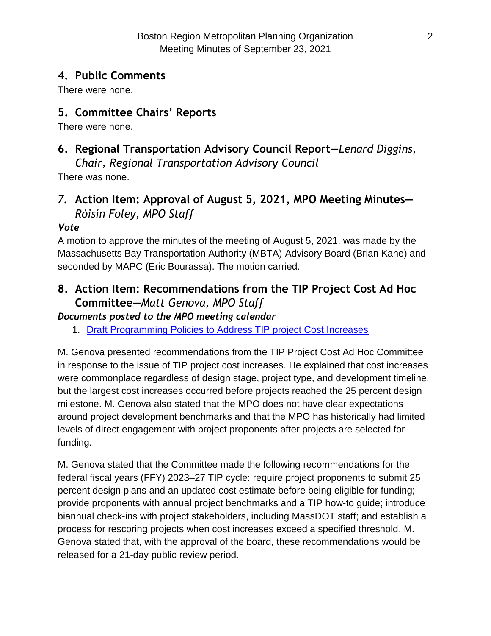## **4. Public Comments**

There were none.

## **5. Committee Chairs' Reports**

There were none.

# **6. Regional Transportation Advisory Council Report—***Lenard Diggins,*

*Chair, Regional Transportation Advisory Council*

There was none.

# *7.* **Action Item: Approval of August 5, 2021, MPO Meeting Minutes—** *Róisín Foley, MPO Staff*

#### *Vote*

A motion to approve the minutes of the meeting of August 5, 2021, was made by the Massachusetts Bay Transportation Authority (MBTA) Advisory Board (Brian Kane) and seconded by MAPC (Eric Bourassa). The motion carried.

# **8. Action Item: Recommendations from the TIP Project Cost Ad Hoc Committee—***Matt Genova, MPO Staff*

*Documents posted to the MPO meeting calendar*

1. [Draft Programming Policies to Address TIP project Cost Increases](https://www.ctps.org/data/calendar/pdfs/2021/MPO_0923_Draft_TIP_Committee_Policy_Recommendations.pdf)

M. Genova presented recommendations from the TIP Project Cost Ad Hoc Committee in response to the issue of TIP project cost increases. He explained that cost increases were commonplace regardless of design stage, project type, and development timeline, but the largest cost increases occurred before projects reached the 25 percent design milestone. M. Genova also stated that the MPO does not have clear expectations around project development benchmarks and that the MPO has historically had limited levels of direct engagement with project proponents after projects are selected for funding.

M. Genova stated that the Committee made the following recommendations for the federal fiscal years (FFY) 2023–27 TIP cycle: require project proponents to submit 25 percent design plans and an updated cost estimate before being eligible for funding; provide proponents with annual project benchmarks and a TIP how-to guide; introduce biannual check-ins with project stakeholders, including MassDOT staff; and establish a process for rescoring projects when cost increases exceed a specified threshold. M. Genova stated that, with the approval of the board, these recommendations would be released for a 21-day public review period.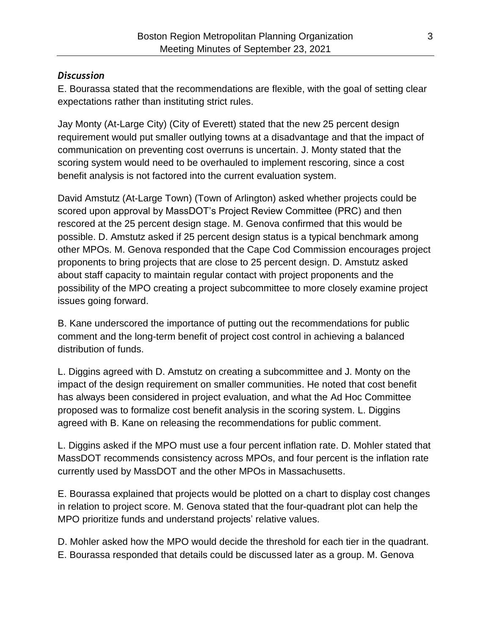#### *Discussion*

E. Bourassa stated that the recommendations are flexible, with the goal of setting clear expectations rather than instituting strict rules.

Jay Monty (At-Large City) (City of Everett) stated that the new 25 percent design requirement would put smaller outlying towns at a disadvantage and that the impact of communication on preventing cost overruns is uncertain. J. Monty stated that the scoring system would need to be overhauled to implement rescoring, since a cost benefit analysis is not factored into the current evaluation system.

David Amstutz (At-Large Town) (Town of Arlington) asked whether projects could be scored upon approval by MassDOT's Project Review Committee (PRC) and then rescored at the 25 percent design stage. M. Genova confirmed that this would be possible. D. Amstutz asked if 25 percent design status is a typical benchmark among other MPOs. M. Genova responded that the Cape Cod Commission encourages project proponents to bring projects that are close to 25 percent design. D. Amstutz asked about staff capacity to maintain regular contact with project proponents and the possibility of the MPO creating a project subcommittee to more closely examine project issues going forward.

B. Kane underscored the importance of putting out the recommendations for public comment and the long-term benefit of project cost control in achieving a balanced distribution of funds.

L. Diggins agreed with D. Amstutz on creating a subcommittee and J. Monty on the impact of the design requirement on smaller communities. He noted that cost benefit has always been considered in project evaluation, and what the Ad Hoc Committee proposed was to formalize cost benefit analysis in the scoring system. L. Diggins agreed with B. Kane on releasing the recommendations for public comment.

L. Diggins asked if the MPO must use a four percent inflation rate. D. Mohler stated that MassDOT recommends consistency across MPOs, and four percent is the inflation rate currently used by MassDOT and the other MPOs in Massachusetts.

E. Bourassa explained that projects would be plotted on a chart to display cost changes in relation to project score. M. Genova stated that the four-quadrant plot can help the MPO prioritize funds and understand projects' relative values.

D. Mohler asked how the MPO would decide the threshold for each tier in the quadrant. E. Bourassa responded that details could be discussed later as a group. M. Genova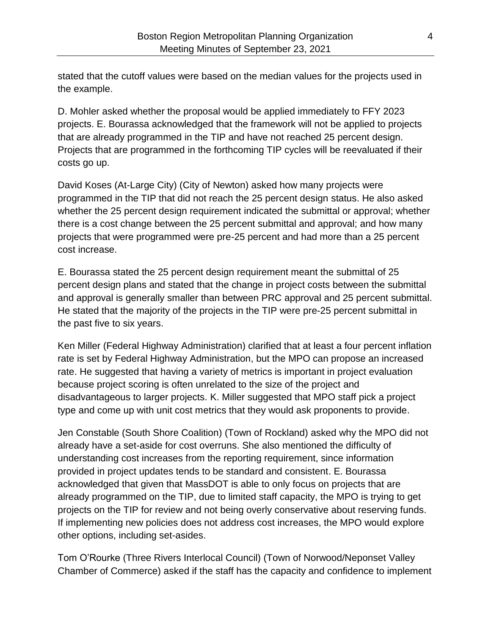stated that the cutoff values were based on the median values for the projects used in the example.

D. Mohler asked whether the proposal would be applied immediately to FFY 2023 projects. E. Bourassa acknowledged that the framework will not be applied to projects that are already programmed in the TIP and have not reached 25 percent design. Projects that are programmed in the forthcoming TIP cycles will be reevaluated if their costs go up.

David Koses (At-Large City) (City of Newton) asked how many projects were programmed in the TIP that did not reach the 25 percent design status. He also asked whether the 25 percent design requirement indicated the submittal or approval; whether there is a cost change between the 25 percent submittal and approval; and how many projects that were programmed were pre-25 percent and had more than a 25 percent cost increase.

E. Bourassa stated the 25 percent design requirement meant the submittal of 25 percent design plans and stated that the change in project costs between the submittal and approval is generally smaller than between PRC approval and 25 percent submittal. He stated that the majority of the projects in the TIP were pre-25 percent submittal in the past five to six years.

Ken Miller (Federal Highway Administration) clarified that at least a four percent inflation rate is set by Federal Highway Administration, but the MPO can propose an increased rate. He suggested that having a variety of metrics is important in project evaluation because project scoring is often unrelated to the size of the project and disadvantageous to larger projects. K. Miller suggested that MPO staff pick a project type and come up with unit cost metrics that they would ask proponents to provide.

Jen Constable (South Shore Coalition) (Town of Rockland) asked why the MPO did not already have a set-aside for cost overruns. She also mentioned the difficulty of understanding cost increases from the reporting requirement, since information provided in project updates tends to be standard and consistent. E. Bourassa acknowledged that given that MassDOT is able to only focus on projects that are already programmed on the TIP, due to limited staff capacity, the MPO is trying to get projects on the TIP for review and not being overly conservative about reserving funds. If implementing new policies does not address cost increases, the MPO would explore other options, including set-asides.

Tom O'Rourke (Three Rivers Interlocal Council) (Town of Norwood/Neponset Valley Chamber of Commerce) asked if the staff has the capacity and confidence to implement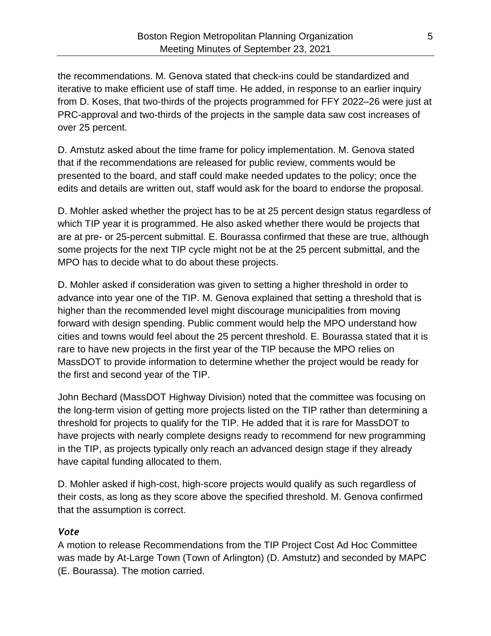the recommendations. M. Genova stated that check-ins could be standardized and iterative to make efficient use of staff time. He added, in response to an earlier inquiry from D. Koses, that two-thirds of the projects programmed for FFY 2022–26 were just at PRC-approval and two-thirds of the projects in the sample data saw cost increases of over 25 percent.

D. Amstutz asked about the time frame for policy implementation. M. Genova stated that if the recommendations are released for public review, comments would be presented to the board, and staff could make needed updates to the policy; once the edits and details are written out, staff would ask for the board to endorse the proposal.

D. Mohler asked whether the project has to be at 25 percent design status regardless of which TIP year it is programmed. He also asked whether there would be projects that are at pre- or 25-percent submittal. E. Bourassa confirmed that these are true, although some projects for the next TIP cycle might not be at the 25 percent submittal, and the MPO has to decide what to do about these projects.

D. Mohler asked if consideration was given to setting a higher threshold in order to advance into year one of the TIP. M. Genova explained that setting a threshold that is higher than the recommended level might discourage municipalities from moving forward with design spending. Public comment would help the MPO understand how cities and towns would feel about the 25 percent threshold. E. Bourassa stated that it is rare to have new projects in the first year of the TIP because the MPO relies on MassDOT to provide information to determine whether the project would be ready for the first and second year of the TIP.

John Bechard (MassDOT Highway Division) noted that the committee was focusing on the long-term vision of getting more projects listed on the TIP rather than determining a threshold for projects to qualify for the TIP. He added that it is rare for MassDOT to have projects with nearly complete designs ready to recommend for new programming in the TIP, as projects typically only reach an advanced design stage if they already have capital funding allocated to them.

D. Mohler asked if high-cost, high-score projects would qualify as such regardless of their costs, as long as they score above the specified threshold. M. Genova confirmed that the assumption is correct.

#### *Vote*

A motion to release Recommendations from the TIP Project Cost Ad Hoc Committee was made by At-Large Town (Town of Arlington) (D. Amstutz) and seconded by MAPC (E. Bourassa). The motion carried.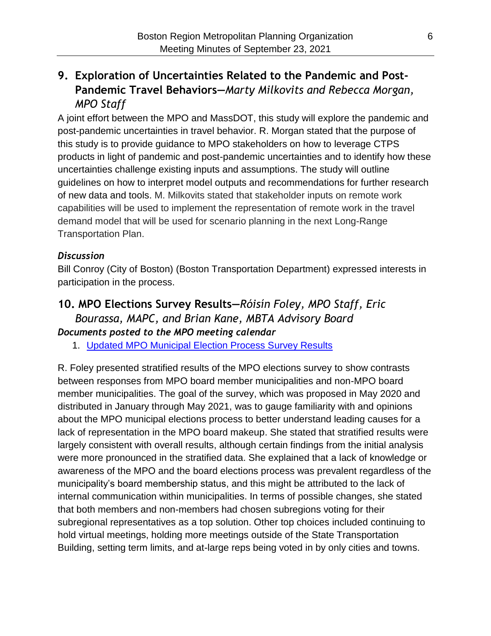# **9. Exploration of Uncertainties Related to the Pandemic and Post-Pandemic Travel Behaviors—***Marty Milkovits and Rebecca Morgan, MPO Staff*

A joint effort between the MPO and MassDOT, this study will explore the pandemic and post-pandemic uncertainties in travel behavior. R. Morgan stated that the purpose of this study is to provide guidance to MPO stakeholders on how to leverage CTPS products in light of pandemic and post-pandemic uncertainties and to identify how these uncertainties challenge existing inputs and assumptions. The study will outline guidelines on how to interpret model outputs and recommendations for further research of new data and tools. M. Milkovits stated that stakeholder inputs on remote work capabilities will be used to implement the representation of remote work in the travel demand model that will be used for scenario planning in the next Long-Range Transportation Plan.

#### *Discussion*

Bill Conroy (City of Boston) (Boston Transportation Department) expressed interests in participation in the process.

### **10. MPO Elections Survey Results—***Róisín Foley, MPO Staff, Eric Bourassa, MAPC, and Brian Kane, MBTA Advisory Board Documents posted to the MPO meeting calendar*

1. [Updated MPO Municipal Election Process Survey Results](https://www.ctps.org/data/calendar/pdfs/2021/MPO_0923_Updated_MPO_Municipal_Election_Process_Survey_Results.pdf)

R. Foley presented stratified results of the MPO elections survey to show contrasts between responses from MPO board member municipalities and non-MPO board member municipalities. The goal of the survey, which was proposed in May 2020 and distributed in January through May 2021, was to gauge familiarity with and opinions about the MPO municipal elections process to better understand leading causes for a lack of representation in the MPO board makeup. She stated that stratified results were largely consistent with overall results, although certain findings from the initial analysis were more pronounced in the stratified data. She explained that a lack of knowledge or awareness of the MPO and the board elections process was prevalent regardless of the municipality's board membership status, and this might be attributed to the lack of internal communication within municipalities. In terms of possible changes, she stated that both members and non-members had chosen subregions voting for their subregional representatives as a top solution. Other top choices included continuing to hold virtual meetings, holding more meetings outside of the State Transportation Building, setting term limits, and at-large reps being voted in by only cities and towns.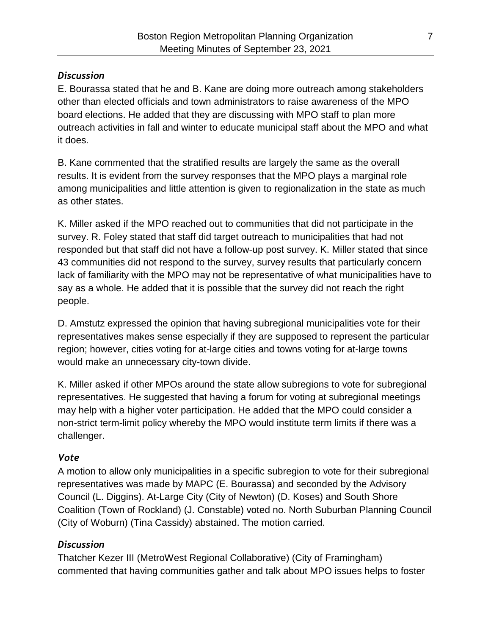#### *Discussion*

E. Bourassa stated that he and B. Kane are doing more outreach among stakeholders other than elected officials and town administrators to raise awareness of the MPO board elections. He added that they are discussing with MPO staff to plan more outreach activities in fall and winter to educate municipal staff about the MPO and what it does.

B. Kane commented that the stratified results are largely the same as the overall results. It is evident from the survey responses that the MPO plays a marginal role among municipalities and little attention is given to regionalization in the state as much as other states.

K. Miller asked if the MPO reached out to communities that did not participate in the survey. R. Foley stated that staff did target outreach to municipalities that had not responded but that staff did not have a follow-up post survey. K. Miller stated that since 43 communities did not respond to the survey, survey results that particularly concern lack of familiarity with the MPO may not be representative of what municipalities have to say as a whole. He added that it is possible that the survey did not reach the right people.

D. Amstutz expressed the opinion that having subregional municipalities vote for their representatives makes sense especially if they are supposed to represent the particular region; however, cities voting for at-large cities and towns voting for at-large towns would make an unnecessary city-town divide.

K. Miller asked if other MPOs around the state allow subregions to vote for subregional representatives. He suggested that having a forum for voting at subregional meetings may help with a higher voter participation. He added that the MPO could consider a non-strict term-limit policy whereby the MPO would institute term limits if there was a challenger.

## *Vote*

A motion to allow only municipalities in a specific subregion to vote for their subregional representatives was made by MAPC (E. Bourassa) and seconded by the Advisory Council (L. Diggins). At-Large City (City of Newton) (D. Koses) and South Shore Coalition (Town of Rockland) (J. Constable) voted no. North Suburban Planning Council (City of Woburn) (Tina Cassidy) abstained. The motion carried.

## *Discussion*

Thatcher Kezer III (MetroWest Regional Collaborative) (City of Framingham) commented that having communities gather and talk about MPO issues helps to foster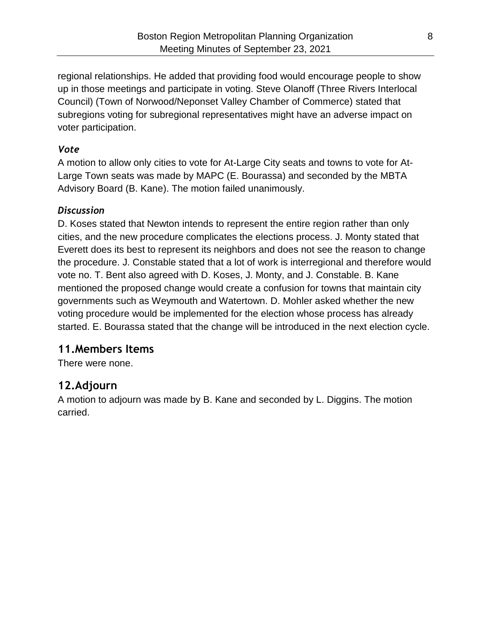regional relationships. He added that providing food would encourage people to show up in those meetings and participate in voting. Steve Olanoff (Three Rivers Interlocal Council) (Town of Norwood/Neponset Valley Chamber of Commerce) stated that subregions voting for subregional representatives might have an adverse impact on voter participation.

#### *Vote*

A motion to allow only cities to vote for At-Large City seats and towns to vote for At-Large Town seats was made by MAPC (E. Bourassa) and seconded by the MBTA Advisory Board (B. Kane). The motion failed unanimously.

#### *Discussion*

D. Koses stated that Newton intends to represent the entire region rather than only cities, and the new procedure complicates the elections process. J. Monty stated that Everett does its best to represent its neighbors and does not see the reason to change the procedure. J. Constable stated that a lot of work is interregional and therefore would vote no. T. Bent also agreed with D. Koses, J. Monty, and J. Constable. B. Kane mentioned the proposed change would create a confusion for towns that maintain city governments such as Weymouth and Watertown. D. Mohler asked whether the new voting procedure would be implemented for the election whose process has already started. E. Bourassa stated that the change will be introduced in the next election cycle.

# **11.Members Items**

There were none.

# **12.Adjourn**

A motion to adjourn was made by B. Kane and seconded by L. Diggins. The motion carried.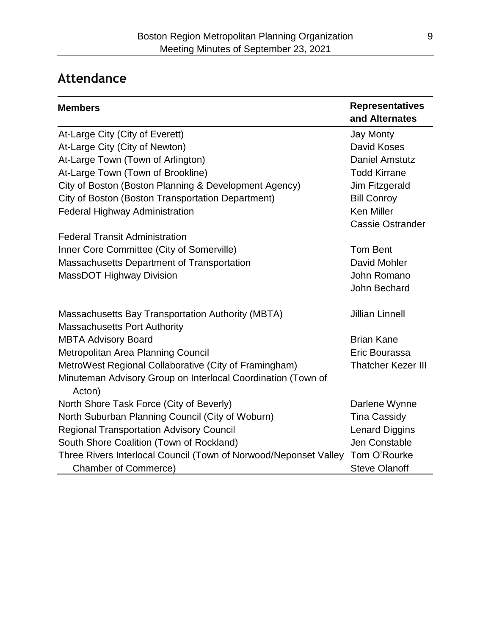# **Attendance**

| <b>Members</b>                                                         | <b>Representatives</b><br>and Alternates |
|------------------------------------------------------------------------|------------------------------------------|
| At-Large City (City of Everett)                                        | <b>Jay Monty</b>                         |
| At-Large City (City of Newton)                                         | David Koses                              |
| At-Large Town (Town of Arlington)                                      | <b>Daniel Amstutz</b>                    |
| At-Large Town (Town of Brookline)                                      | <b>Todd Kirrane</b>                      |
| City of Boston (Boston Planning & Development Agency)                  | Jim Fitzgerald                           |
| City of Boston (Boston Transportation Department)                      | <b>Bill Conroy</b>                       |
| <b>Federal Highway Administration</b>                                  | <b>Ken Miller</b>                        |
|                                                                        | <b>Cassie Ostrander</b>                  |
| <b>Federal Transit Administration</b>                                  |                                          |
| Inner Core Committee (City of Somerville)                              | <b>Tom Bent</b>                          |
| Massachusetts Department of Transportation                             | David Mohler                             |
| MassDOT Highway Division                                               | John Romano                              |
|                                                                        | John Bechard                             |
| <b>Massachusetts Bay Transportation Authority (MBTA)</b>               | <b>Jillian Linnell</b>                   |
| <b>Massachusetts Port Authority</b>                                    |                                          |
| <b>MBTA Advisory Board</b>                                             | <b>Brian Kane</b>                        |
| Metropolitan Area Planning Council                                     | Eric Bourassa                            |
| MetroWest Regional Collaborative (City of Framingham)                  | <b>Thatcher Kezer III</b>                |
| Minuteman Advisory Group on Interlocal Coordination (Town of<br>Acton) |                                          |
| North Shore Task Force (City of Beverly)                               | Darlene Wynne                            |
| North Suburban Planning Council (City of Woburn)                       | <b>Tina Cassidy</b>                      |
| <b>Regional Transportation Advisory Council</b>                        | <b>Lenard Diggins</b>                    |
| South Shore Coalition (Town of Rockland)                               | Jen Constable                            |
| Three Rivers Interlocal Council (Town of Norwood/Neponset Valley       | Tom O'Rourke                             |
| <b>Chamber of Commerce)</b>                                            | <b>Steve Olanoff</b>                     |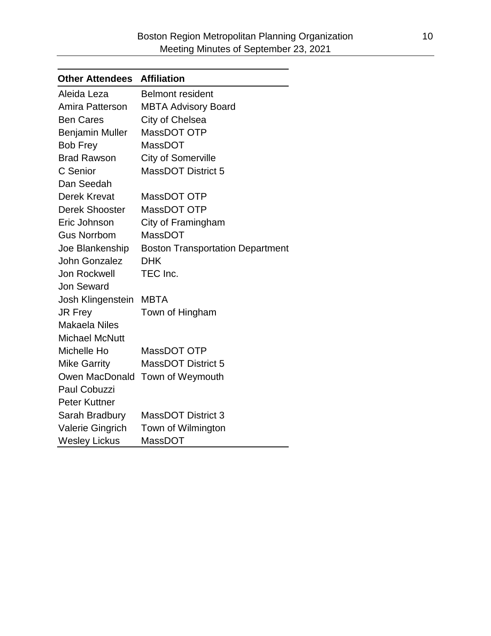| <b>Other Attendees</b>  | <b>Affiliation</b>                      |
|-------------------------|-----------------------------------------|
| Aleida Leza             | Belmont resident                        |
| Amira Patterson         | <b>MBTA Advisory Board</b>              |
| <b>Ben Cares</b>        | City of Chelsea                         |
| <b>Benjamin Muller</b>  | MassDOT OTP                             |
| <b>Bob Frey</b>         | <b>MassDOT</b>                          |
| <b>Brad Rawson</b>      | <b>City of Somerville</b>               |
| C Senior                | <b>MassDOT District 5</b>               |
| Dan Seedah              |                                         |
| Derek Krevat            | MassDOT OTP                             |
| <b>Derek Shooster</b>   | MassDOT OTP                             |
| Eric Johnson            | City of Framingham                      |
| <b>Gus Norrbom</b>      | MassDOT                                 |
| Joe Blankenship         | <b>Boston Transportation Department</b> |
| <b>John Gonzalez</b>    | <b>DHK</b>                              |
| Jon Rockwell            | TEC Inc.                                |
| <b>Jon Seward</b>       |                                         |
| Josh Klingenstein       | <b>MBTA</b>                             |
| JR Frey                 | Town of Hingham                         |
| <b>Makaela Niles</b>    |                                         |
| <b>Michael McNutt</b>   |                                         |
| Michelle Ho             | MassDOT OTP                             |
| <b>Mike Garrity</b>     | <b>MassDOT District 5</b>               |
|                         | Owen MacDonald Town of Weymouth         |
| <b>Paul Cobuzzi</b>     |                                         |
| <b>Peter Kuttner</b>    |                                         |
| Sarah Bradbury          | <b>MassDOT District 3</b>               |
| <b>Valerie Gingrich</b> | Town of Wilmington                      |
| <b>Wesley Lickus</b>    | MassDOT                                 |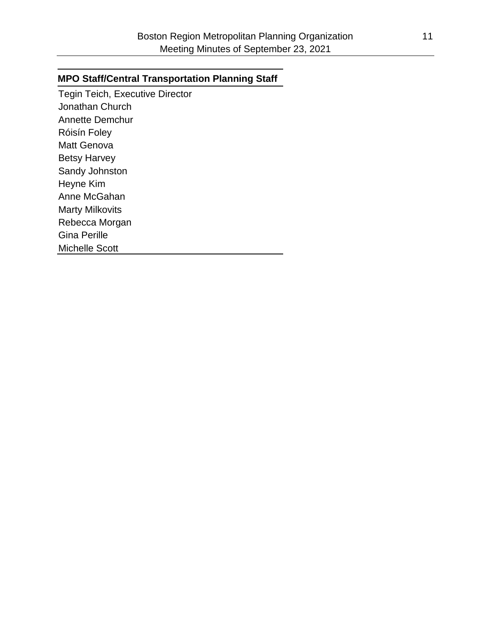#### **MPO Staff/Central Transportation Planning Staff**

Tegin Teich, Executive Director Jonathan Church Annette Demchur Róisín Foley Matt Genova Betsy Harvey Sandy Johnston Heyne Kim Anne McGahan Marty Milkovits Rebecca Morgan Gina Perille Michelle Scott